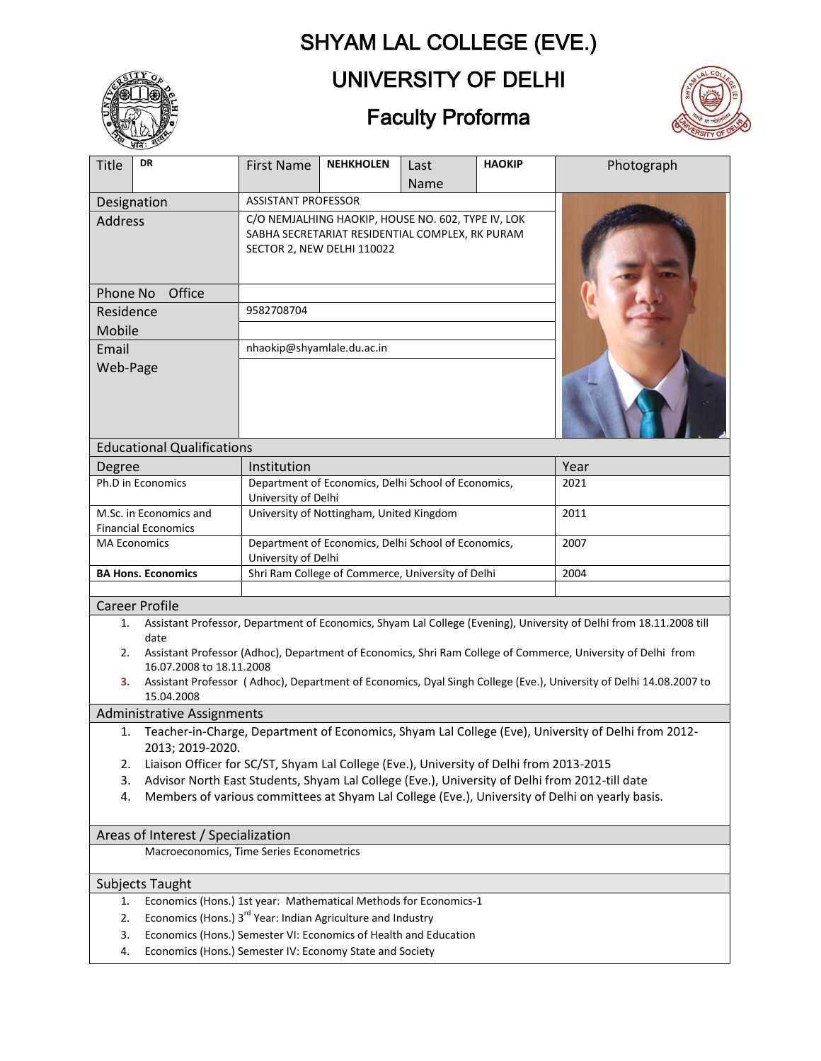# SHYAM LAL COLLEGE (EVE.)



## UNIVERSITY OF DELHI

### Faculty Proforma



| <b>Title</b>                                                                                                                  | DR                                                                                                                                     | <b>First Name</b>                                                                                                                   | <b>NEHKHOLEN</b> | Last        | <b>HAOKIP</b> | Photograph |  |
|-------------------------------------------------------------------------------------------------------------------------------|----------------------------------------------------------------------------------------------------------------------------------------|-------------------------------------------------------------------------------------------------------------------------------------|------------------|-------------|---------------|------------|--|
|                                                                                                                               |                                                                                                                                        | <b>ASSISTANT PROFESSOR</b>                                                                                                          |                  | <b>Name</b> |               |            |  |
| Designation<br><b>Address</b>                                                                                                 |                                                                                                                                        | C/O NEMJALHING HAOKIP, HOUSE NO. 602, TYPE IV, LOK<br>SABHA SECRETARIAT RESIDENTIAL COMPLEX, RK PURAM<br>SECTOR 2, NEW DELHI 110022 |                  |             |               |            |  |
| Office<br>Phone No                                                                                                            |                                                                                                                                        |                                                                                                                                     |                  |             |               |            |  |
| Residence                                                                                                                     |                                                                                                                                        | 9582708704                                                                                                                          |                  |             |               |            |  |
| Mobile                                                                                                                        |                                                                                                                                        |                                                                                                                                     |                  |             |               |            |  |
| Email                                                                                                                         |                                                                                                                                        | nhaokip@shyamlale.du.ac.in                                                                                                          |                  |             |               |            |  |
| Web-Page                                                                                                                      |                                                                                                                                        |                                                                                                                                     |                  |             |               |            |  |
| <b>Educational Qualifications</b>                                                                                             |                                                                                                                                        |                                                                                                                                     |                  |             |               |            |  |
| Degree                                                                                                                        |                                                                                                                                        | Institution                                                                                                                         |                  |             | Year          |            |  |
| Ph.D in Economics                                                                                                             |                                                                                                                                        | Department of Economics, Delhi School of Economics,<br>University of Delhi                                                          |                  |             | 2021          |            |  |
| M.Sc. in Economics and<br><b>Financial Economics</b>                                                                          |                                                                                                                                        | University of Nottingham, United Kingdom                                                                                            |                  |             | 2011          |            |  |
| <b>MA Economics</b>                                                                                                           |                                                                                                                                        | Department of Economics, Delhi School of Economics,<br>University of Delhi                                                          |                  |             | 2007          |            |  |
| <b>BA Hons. Economics</b>                                                                                                     |                                                                                                                                        | Shri Ram College of Commerce, University of Delhi                                                                                   |                  |             | 2004          |            |  |
| <b>Career Profile</b>                                                                                                         |                                                                                                                                        |                                                                                                                                     |                  |             |               |            |  |
| 1.                                                                                                                            | Assistant Professor, Department of Economics, Shyam Lal College (Evening), University of Delhi from 18.11.2008 till                    |                                                                                                                                     |                  |             |               |            |  |
| 2.                                                                                                                            | date<br>Assistant Professor (Adhoc), Department of Economics, Shri Ram College of Commerce, University of Delhi from                   |                                                                                                                                     |                  |             |               |            |  |
|                                                                                                                               | 16.07.2008 to 18.11.2008                                                                                                               |                                                                                                                                     |                  |             |               |            |  |
|                                                                                                                               | Assistant Professor (Adhoc), Department of Economics, Dyal Singh College (Eve.), University of Delhi 14.08.2007 to<br>З.<br>15.04.2008 |                                                                                                                                     |                  |             |               |            |  |
| <b>Administrative Assignments</b>                                                                                             |                                                                                                                                        |                                                                                                                                     |                  |             |               |            |  |
| Teacher-in-Charge, Department of Economics, Shyam Lal College (Eve), University of Delhi from 2012-<br>1.<br>2013; 2019-2020. |                                                                                                                                        |                                                                                                                                     |                  |             |               |            |  |
| 2.                                                                                                                            | Liaison Officer for SC/ST, Shyam Lal College (Eve.), University of Delhi from 2013-2015                                                |                                                                                                                                     |                  |             |               |            |  |
| 3.                                                                                                                            | Advisor North East Students, Shyam Lal College (Eve.), University of Delhi from 2012-till date                                         |                                                                                                                                     |                  |             |               |            |  |
| Members of various committees at Shyam Lal College (Eve.), University of Delhi on yearly basis.<br>4.                         |                                                                                                                                        |                                                                                                                                     |                  |             |               |            |  |
| Areas of Interest / Specialization                                                                                            |                                                                                                                                        |                                                                                                                                     |                  |             |               |            |  |
| Macroeconomics, Time Series Econometrics                                                                                      |                                                                                                                                        |                                                                                                                                     |                  |             |               |            |  |
| <b>Subjects Taught</b>                                                                                                        |                                                                                                                                        |                                                                                                                                     |                  |             |               |            |  |
| 1.                                                                                                                            | Economics (Hons.) 1st year: Mathematical Methods for Economics-1                                                                       |                                                                                                                                     |                  |             |               |            |  |
| 2.                                                                                                                            |                                                                                                                                        | Economics (Hons.) 3 <sup>rd</sup> Year: Indian Agriculture and Industry                                                             |                  |             |               |            |  |
| 3.                                                                                                                            | Economics (Hons.) Semester VI: Economics of Health and Education                                                                       |                                                                                                                                     |                  |             |               |            |  |

4. Economics (Hons.) Semester IV: Economy State and Society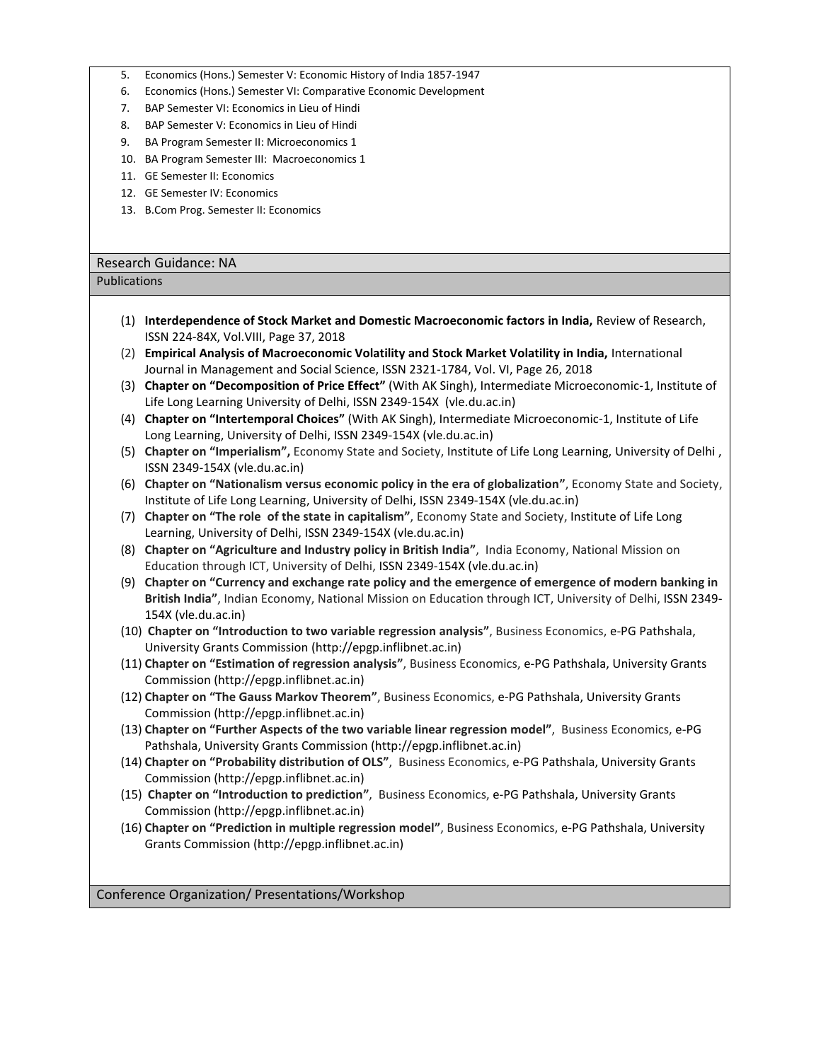- 5. Economics (Hons.) Semester V: Economic History of India 1857-1947
- 6. Economics (Hons.) Semester VI: Comparative Economic Development
- 7. BAP Semester VI: Economics in Lieu of Hindi
- 8. BAP Semester V: Economics in Lieu of Hindi
- 9. BA Program Semester II: Microeconomics 1
- 10. BA Program Semester III: Macroeconomics 1
- 11. GE Semester II: Economics
- 12. GE Semester IV: Economics
- 13. B.Com Prog. Semester II: Economics

#### Research Guidance: NA

#### Publications

- (1) **Interdependence of Stock Market and Domestic Macroeconomic factors in India,** Review of Research, ISSN 224-84X, Vol.VIII, Page 37, 2018
- (2) **Empirical Analysis of Macroeconomic Volatility and Stock Market Volatility in India,** International Journal in Management and Social Science, ISSN 2321-1784, Vol. VI, Page 26, 2018
- (3) **Chapter on "Decomposition of Price Effect"** (With AK Singh), Intermediate Microeconomic-1, Institute of Life Long Learning University of Delhi, ISSN 2349-154X (vle.du.ac.in)
- (4) **Chapter on "Intertemporal Choices"** (With AK Singh), Intermediate Microeconomic-1, Institute of Life Long Learning, University of Delhi, ISSN 2349-154X (vle.du.ac.in)
- (5) **Chapter on "Imperialism",** Economy State and Society, Institute of Life Long Learning, University of Delhi , ISSN 2349-154X (vle.du.ac.in)
- (6) **Chapter on "Nationalism versus economic policy in the era of globalization"**, Economy State and Society, Institute of Life Long Learning, University of Delhi, ISSN 2349-154X (vle.du.ac.in)
- (7) **Chapter on "The role of the state in capitalism"**, Economy State and Society, Institute of Life Long Learning, University of Delhi, ISSN 2349-154X (vle.du.ac.in)
- (8) **Chapter on "Agriculture and Industry policy in British India"**, India Economy, National Mission on Education through ICT, University of Delhi, ISSN 2349-154X (vle.du.ac.in)
- (9) **Chapter on "Currency and exchange rate policy and the emergence of emergence of modern banking in British India"**, Indian Economy, National Mission on Education through ICT, University of Delhi, ISSN 2349- 154X (vle.du.ac.in)
- (10) **Chapter on "Introduction to two variable regression analysis"**, Business Economics, e-PG Pathshala, University Grants Commission (http://epgp.inflibnet.ac.in)
- (11) **Chapter on "Estimation of regression analysis"**, Business Economics, e-PG Pathshala, University Grants Commission (http://epgp.inflibnet.ac.in)
- (12) **Chapter on "The Gauss Markov Theorem"**, Business Economics, e-PG Pathshala, University Grants Commission (http://epgp.inflibnet.ac.in)
- (13) **Chapter on "Further Aspects of the two variable linear regression model"**, Business Economics, e-PG Pathshala, University Grants Commission (http://epgp.inflibnet.ac.in)
- (14) **Chapter on "Probability distribution of OLS"**, Business Economics, e-PG Pathshala, University Grants Commission (http://epgp.inflibnet.ac.in)
- (15) **Chapter on "Introduction to prediction"**, Business Economics, e-PG Pathshala, University Grants Commission (http://epgp.inflibnet.ac.in)
- (16) **Chapter on "Prediction in multiple regression model"**, Business Economics, e-PG Pathshala, University Grants Commission (http://epgp.inflibnet.ac.in)

Conference Organization/ Presentations/Workshop